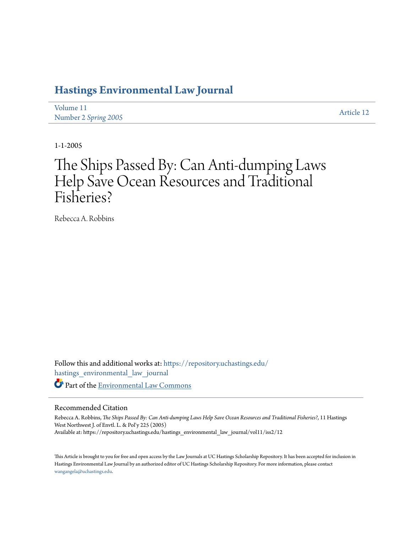# **[Hastings Environmental Law Journal](https://repository.uchastings.edu/hastings_environmental_law_journal?utm_source=repository.uchastings.edu%2Fhastings_environmental_law_journal%2Fvol11%2Fiss2%2F12&utm_medium=PDF&utm_campaign=PDFCoverPages)**

[Volume 11](https://repository.uchastings.edu/hastings_environmental_law_journal/vol11?utm_source=repository.uchastings.edu%2Fhastings_environmental_law_journal%2Fvol11%2Fiss2%2F12&utm_medium=PDF&utm_campaign=PDFCoverPages) Number 2 *[Spring 2005](https://repository.uchastings.edu/hastings_environmental_law_journal/vol11/iss2?utm_source=repository.uchastings.edu%2Fhastings_environmental_law_journal%2Fvol11%2Fiss2%2F12&utm_medium=PDF&utm_campaign=PDFCoverPages)* [Article 12](https://repository.uchastings.edu/hastings_environmental_law_journal/vol11/iss2/12?utm_source=repository.uchastings.edu%2Fhastings_environmental_law_journal%2Fvol11%2Fiss2%2F12&utm_medium=PDF&utm_campaign=PDFCoverPages)

1-1-2005

# The Ships Passed By: Can Anti-dumping Laws Help Save Ocean Resources and Traditional Fisheries?

Rebecca A. Robbins

Follow this and additional works at: [https://repository.uchastings.edu/](https://repository.uchastings.edu/hastings_environmental_law_journal?utm_source=repository.uchastings.edu%2Fhastings_environmental_law_journal%2Fvol11%2Fiss2%2F12&utm_medium=PDF&utm_campaign=PDFCoverPages) [hastings\\_environmental\\_law\\_journal](https://repository.uchastings.edu/hastings_environmental_law_journal?utm_source=repository.uchastings.edu%2Fhastings_environmental_law_journal%2Fvol11%2Fiss2%2F12&utm_medium=PDF&utm_campaign=PDFCoverPages) Part of the [Environmental Law Commons](http://network.bepress.com/hgg/discipline/599?utm_source=repository.uchastings.edu%2Fhastings_environmental_law_journal%2Fvol11%2Fiss2%2F12&utm_medium=PDF&utm_campaign=PDFCoverPages)

### Recommended Citation

Rebecca A. Robbins, *The Ships Passed By: Can Anti-dumping Laws Help Save Ocean Resources and Traditional Fisheries?*, 11 Hastings West Northwest J. of Envtl. L. & Pol'y 225 (2005) Available at: https://repository.uchastings.edu/hastings\_environmental\_law\_journal/vol11/iss2/12

This Article is brought to you for free and open access by the Law Journals at UC Hastings Scholarship Repository. It has been accepted for inclusion in Hastings Environmental Law Journal by an authorized editor of UC Hastings Scholarship Repository. For more information, please contact [wangangela@uchastings.edu](mailto:wangangela@uchastings.edu).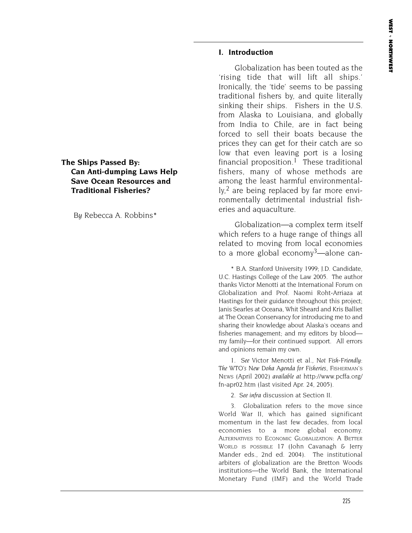### **I. Introduction**

Globalization has been touted as the 'rising tide that will lift all ships.' Ironically, the 'tide' seems to be passing traditional fishers by, and quite literally sinking their ships. Fishers in the U.S. from Alaska to Louisiana, and globally from India to Chile, are in fact being forced to sell their boats because the prices they can get for their catch are so low that even leaving port is a losing financial proposition.<sup>1</sup> These traditional fishers, many of whose methods are among the least harmful environmentally,<sup>2</sup> are being replaced by far more environmentally detrimental industrial fisheries and aquaculture.

Globalization—a complex term itself which refers to a huge range of things all related to moving from local economies to a more global economy<sup>3</sup>—alone can-

\* B.A. Stanford University 1999; J.D. Candidate, U.C. Hastings College of the Law 2005. The author thanks Victor Menotti at the International Forum on Globalization and Prof. Naomi Roht-Arriaza at Hastings for their guidance throughout this project; Janis Searles at Oceana, Whit Sheard and Kris Balliet at The Ocean Conservancy for introducing me to and sharing their knowledge about Alaska's oceans and fisheries management; and my editors by blood my family—for their continued support. All errors and opinions remain my own.

1. *See* Victor Menotti et al., *Not Fish-Friendly: The WTO's New Doha Agenda for Fisheries*, FISHERMAN'S NEWS (April 2002) *available at* http://www.pcffa.org/ fn-apr02.htm (last visited Apr. 24, 2005).

2. *See infra* discussion at Section II.

3. Globalization refers to the move since World War II, which has gained significant momentum in the last few decades, from local economies to a more global economy. ALTERNATIVES TO ECONOMIC GLOBALIZATION: A BETTER WORLD IS POSSIBLE 17 (John Cavanagh & Jerry Mander eds., 2nd ed. 2004). The institutional arbiters of globalization are the Bretton Woods institutions—the World Bank, the International Monetary Fund (IMF) and the World Trade

# **The Ships Passed By: Can Anti-dumping Laws Help Save Ocean Resources and Traditional Fisheries?**

*By* Rebecca A. Robbins\*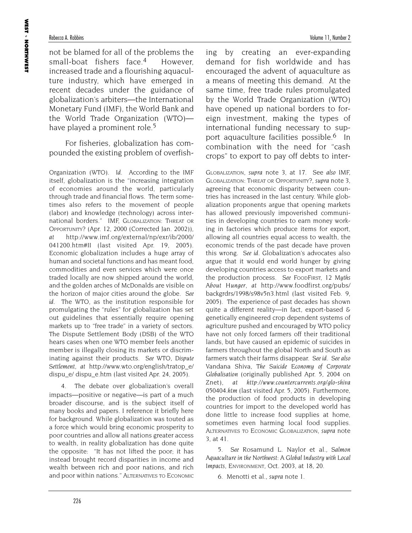not be blamed for all of the problems the small-boat fishers face.4 However, increased trade and a flourishing aquaculture industry, which have emerged in recent decades under the guidance of globalization's arbiters—the International Monetary Fund (IMF), the World Bank and the World Trade Organization (WTO) have played a prominent role.<sup>5</sup>

For fisheries, globalization has compounded the existing problem of overfish-

Organization (WTO). *Id.* According to the IMF itself, globalization is the "increasing integration of economies around the world, particularly through trade and financial flows. The term sometimes also refers to the movement of people (labor) and knowledge (technology) across international borders." IMF, GLOBALIZATION: THREAT OR OPPORTUNITY? (Apr. 12, 2000 (Corrected Jan. 2002)), *at* http://www.imf.org/external/np/exr/ib/2000/ 041200.htm#II (last visited Apr. 19, 2005)*.* Economic globalization includes a huge array of human and societal functions and has meant food, commodities and even services which were once traded locally are now shipped around the world, and the golden arches of McDonalds are visible on the horizon of major cities around the globe. *See id.* The WTO, as the institution responsible for promulgating the "rules" for globalization has set out guidelines that essentially require opening markets up to "free trade" in a variety of sectors. The Dispute Settlement Body (DSB) of the WTO hears cases when one WTO member feels another member is illegally closing its markets or discriminating against their products. *See* WTO*, Dispute Settlement, at* http://www.wto.org/english/tratop\_e/ dispu\_e/ dispu\_e.htm (last visited Apr. 24, 2005).

4. The debate over globalization's overall impacts—positive or negative—is part of a much broader discourse, and is the subject itself of many books and papers. I reference it briefly here for background. While globalization was touted as a force which would bring economic prosperity to poor countries and allow all nations greater access to wealth, in reality globalization has done quite the opposite: "It has not lifted the poor; it has instead brought record disparities in income and wealth between rich and poor nations, and rich and poor within nations." ALTERNATIVES TO ECONOMIC ing by creating an ever-expanding demand for fish worldwide and has encouraged the advent of aquaculture as a means of meeting this demand. At the same time, free trade rules promulgated by the World Trade Organization (WTO) have opened up national borders to foreign investment, making the types of international funding necessary to support aquaculture facilities possible.6 In combination with the need for "cash crops" to export to pay off debts to inter-

GLOBALIZATION, *supra* note 3, at 17. See *also* IMF, GLOBALIZATION: THREAT OR OPPORTUNITY?, *supra* note 3, agreeing that economic disparity between countries has increased in the last century. While globalization proponents argue that opening markets has allowed previously impoverished communities in developing countries to earn money working in factories which produce items for export, allowing all countries equal access to wealth, the economic trends of the past decade have proven this wrong. *See id.* Globalization's advocates also argue that it would end world hunger by giving developing countries access to export markets and the production process. *See* FOODFIRST, *12 Myths About Hunger*, *at* http://www.foodfirst.org/pubs/ backgrdrs/1998/s98v5n3.html (last visited Feb. 9, 2005). The experience of past decades has shown quite a different reality—in fact, export-based & genetically engineered crop dependent systems of agriculture pushed and encouraged by WTO policy have not only forced farmers off their traditional lands, but have caused an epidemic of suicides in farmers throughout the global North and South as farmers watch their farms disappear. *See id. See also* Vandana Shiva, *The Suicide Economy of Corporate Globalisation* (originally published Apr. 5, 2004 on Znet), *at http://www.countercurrents.org/glo-shiva 050404.htm* (last visited Apr. 5, 2005). Furthermore, the production of food products in developing countries for import to the developed world has done little to increase food supplies at home, sometimes even harming local food supplies. ALTERNATIVES TO ECONOMIC GLOBALIZATION, *supra* note 3, at 41.

5. *See* Rosamund L. Naylor et al., *Salmon Aquaculture in the Northwest: A Global Industry with Local Impacts*, ENVIRONMENT, Oct. 2003, at 18, 20.

6. Menotti et al., *supra* note 1.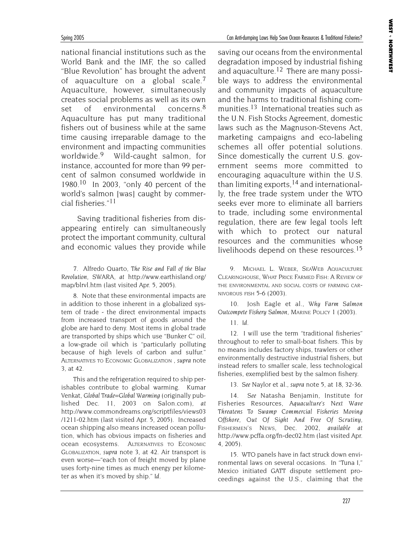national financial institutions such as the World Bank and the IMF, the so called "Blue Revolution" has brought the advent of aquaculture on a global scale.7 Aquaculture, however, simultaneously creates social problems as well as its own set of environmental concerns.<sup>8</sup> Aquaculture has put many traditional fishers out of business while at the same time causing irreparable damage to the environment and impacting communities worldwide.9 Wild-caught salmon, for instance, accounted for more than 99 percent of salmon consumed worldwide in 1980.<sup>10</sup> In 2003, "only 40 percent of the world's salmon [was] caught by commercial fisheries."11

Saving traditional fisheries from disappearing entirely can simultaneously protect the important community, cultural and economic values they provide while

7. Alfredo Quarto, *The Rise and Fall of the Blue Revolution*, SWARA, *at* http://www.earthisland.org/ map/blrvl.htm (last visited Apr. 5, 2005)*.*

8. Note that these environmental impacts are in addition to those inherent in a globalized system of trade - the direct environmental impacts from increased transport of goods around the globe are hard to deny. Most items in global trade are transported by ships which use "Bunker C" oil, a low-grade oil which is "particularly polluting because of high levels of carbon and sulfur." ALTERNATIVES TO ECONOMIC GLOBALIZATION , *supra* note 3, at 42.

This and the refrigeration required to ship perishables contribute to global warming. Kumar Venkat, *Global Trade=Global Warming* (originally published Dec. 11, 2003 on Salon.com), *at* http://www.commondreams.org/scriptfiles/views03 /1211-02.htm (last visited Apr. 5, 2005). Increased ocean shipping also means increased ocean pollution, which has obvious impacts on fisheries and ocean ecosystems. ALTERNATIVES TO ECONOMIC GLOBALIZATION, *supra* note 3, at 42. Air transport is even worse—"each ton of freight moved by plane uses forty-nine times as much energy per kilometer as when it's moved by ship." *Id.*

saving our oceans from the environmental degradation imposed by industrial fishing and aquaculture.<sup>12</sup> There are many possible ways to address the environmental and community impacts of aquaculture and the harms to traditional fishing communities.<sup>13</sup> International treaties such as the U.N. Fish Stocks Agreement, domestic laws such as the Magnuson-Stevens Act, marketing campaigns and eco-labeling schemes all offer potential solutions. Since domestically the current U.S. government seems more committed to encouraging aquaculture within the U.S. than limiting exports,<sup>14</sup> and internationally, the free trade system under the WTO seeks ever more to eliminate all barriers to trade, including some environmental regulation, there are few legal tools left with which to protect our natural resources and the communities whose livelihoods depend on these resources.<sup>15</sup>

9. MICHAEL L. WEBER, SEAWEB AQUACULTURE CLEARINGHOUSE, WHAT PRICE FARMED FISH: A REVIEW OF THE ENVIRONMENTAL AND SOCIAL COSTS OF FARMING CAR-NIVOROUS FISH 5-6 (2003).

10. Josh Eagle et al., *Why Farm Salmon Outcompete Fishery Salmon,* MARINE POLICY 1 (2003).

11. *Id.*

12. I will use the term "traditional fisheries" throughout to refer to small-boat fishers. This by no means includes factory ships, trawlers or other environmentally destructive industrial fishers, but instead refers to smaller scale, less technological fisheries, exemplified best by the salmon fishery.

13. *See* Naylor et al., *supra* note 5, at 18, 32-36.

14. *See* Natasha Benjamin, Institute for Fisheries Resources, *Aquaculture's Next Wave Threatens To Swamp Commercial Fisheries Moving Offshore, Out Of Sight And Free Of Scrutiny,* FISHERMEN'S NEWS, Dec. 2002, *available at* http://www.pcffa.org/fn-dec02.htm (last visited Apr. 4, 2005).

15. WTO panels have in fact struck down environmental laws on several occasions. In "Tuna I," Mexico initiated GATT dispute settlement proceedings against the U.S., claiming that the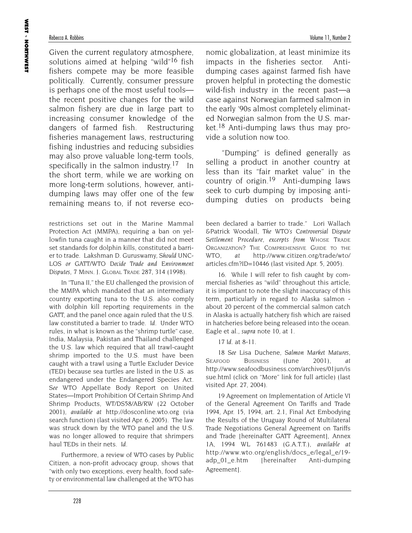Given the current regulatory atmosphere, solutions aimed at helping "wild"<sup>16</sup> fish fishers compete may be more feasible politically. Currently, consumer pressure is perhaps one of the most useful tools the recent positive changes for the wild salmon fishery are due in large part to increasing consumer knowledge of the dangers of farmed fish. Restructuring fisheries management laws, restructuring fishing industries and reducing subsidies may also prove valuable long-term tools, specifically in the salmon industry.<sup>17</sup> In the short term, while we are working on more long-term solutions, however, antidumping laws may offer one of the few remaining means to, if not reverse eco-

restrictions set out in the Marine Mammal Protection Act (MMPA), requiring a ban on yellowfin tuna caught in a manner that did not meet set standards for dolphin kills, constituted a barrier to trade. Lakshman D. Guruswamy, *Should UNC-LOS or GATT/WTO Decide Trade and Environment Disputes,* 7 MINN. J. GLOBAL TRADE 287, 314 (1998).

In "Tuna II," the EU challenged the provision of the MMPA which mandated that an intermediary country exporting tuna to the U.S. also comply with dolphin kill reporting requirements in the GATT, and the panel once again ruled that the U.S. law constituted a barrier to trade. *Id.* Under WTO rules, in what is known as the "shrimp turtle" case, India, Malaysia, Pakistan and Thailand challenged the U.S. law which required that all trawl-caught shrimp imported to the U.S. must have been caught with a trawl using a Turtle Excluder Device (TED) because sea turtles are listed in the U.S. as endangered under the Endangered Species Act. *See* WTO Appellate Body Report on United States—Import Prohibition Of Certain Shrimp And Shrimp Products, WT/DS58/AB/RW (22 October 2001), *available at* http://dosconline.wto.org (via search function) (last visited Apr. 6, 2005). The law was struck down by the WTO panel and the U.S. was no longer allowed to require that shrimpers haul TEDs in their nets. *Id.*

Furthermore, a review of WTO cases by Public Citizen, a non-profit advocacy group, shows that "with only two exceptions, every health, food safety or environmental law challenged at the WTO has nomic globalization, at least minimize its impacts in the fisheries sector. Antidumping cases against farmed fish have proven helpful in protecting the domestic wild-fish industry in the recent past—a case against Norwegian farmed salmon in the early '90s almost completely eliminated Norwegian salmon from the U.S. market.18 Anti-dumping laws thus may provide a solution now too.

"Dumping" is defined generally as selling a product in another country at less than its "fair market value" in the country of origin.19 Anti-dumping laws seek to curb dumping by imposing antidumping duties on products being

been declared a barrier to trade." Lori Wallach &Patrick Woodall, *The WTO's Controversial Dispute Settlement Procedure, excerpts from* WHOSE TRADE ORGANIZATION? THE COMPREHENSIVE GUIDE TO THE WTO, *at* http://www.citizen.org/trade/wto/ articles.cfm?ID=10446 (last visited Apr. 5, 2005).

16. While I will refer to fish caught by commercial fisheries as "wild" throughout this article, it is important to note the slight inaccuracy of this term, particularly in regard to Alaska salmon about 20 percent of the commercial salmon catch in Alaska is actually hatchery fish which are raised in hatcheries before being released into the ocean. Eagle et al., *supra* note 10, at 1.

17 *Id.* at 8-11.

18 *See* Lisa Duchene, *Salmon Market Matures*, SEAFOOD BUSINESS (June 2001), *at* http://www.seafoodbusiness.com/archives/01jun/is sue.html (click on "More" link for full article) (last visited Apr. 27, 2004).

19 Agreement on Implementation of Article VI of the General Agreement On Tariffs and Trade 1994, Apr. 15, 1994, art. 2.1, Final Act Embodying the Results of the Uruguay Round of Multilateral Trade Negotiations General Agreement on Tariffs and Trade [hereinafter GATT Agreement], Annex 1A, 1994 WL 761483 (G.A.T.T.), *available at* http://www.wto.org/english/docs\_e/legal\_e/19 adp\_01\_e.htm [hereinafter Anti-dumping Agreement].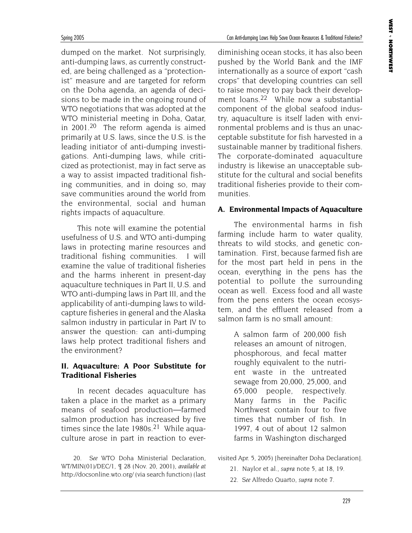dumped on the market. Not surprisingly, anti-dumping laws, as currently constructed, are being challenged as a "protectionist" measure and are targeted for reform on the Doha agenda, an agenda of decisions to be made in the ongoing round of WTO negotiations that was adopted at the WTO ministerial meeting in Doha, Qatar, in 2001.20 The reform agenda is aimed primarily at U.S. laws, since the U.S. is the leading initiator of anti-dumping investigations. Anti-dumping laws, while criticized as protectionist, may in fact serve as a way to assist impacted traditional fishing communities, and in doing so, may save communities around the world from the environmental, social and human rights impacts of aquaculture.

This note will examine the potential usefulness of U.S. and WTO anti-dumping laws in protecting marine resources and traditional fishing communities. I will examine the value of traditional fisheries and the harms inherent in present-day aquaculture techniques in Part II, U.S. and WTO anti-dumping laws in Part III, and the applicability of anti-dumping laws to wildcapture fisheries in general and the Alaska salmon industry in particular in Part IV to answer the question: can anti-dumping laws help protect traditional fishers and the environment?

# **II. Aquaculture: A Poor Substitute for Traditional Fisheries**

In recent decades aquaculture has taken a place in the market as a primary means of seafood production—farmed salmon production has increased by five times since the late  $1980s$ <sup>21</sup> While aquaculture arose in part in reaction to ever-

20. *See* WTO Doha Ministerial Declaration, WT/MIN(01)/DEC/1, ¶ 28 (Nov. 20, 2001), *available at* http://docsonline.wto.org/ (via search function) (last

diminishing ocean stocks, it has also been pushed by the World Bank and the IMF internationally as a source of export "cash crops" that developing countries can sell to raise money to pay back their development loans.<sup>22</sup> While now a substantial component of the global seafood industry, aquaculture is itself laden with environmental problems and is thus an unacceptable substitute for fish harvested in a sustainable manner by traditional fishers. The corporate-dominated aquaculture industry is likewise an unacceptable substitute for the cultural and social benefits traditional fisheries provide to their communities.

# **A. Environmental Impacts of Aquaculture**

The environmental harms in fish farming include harm to water quality, threats to wild stocks, and genetic contamination. First, because farmed fish are for the most part held in pens in the ocean, everything in the pens has the potential to pollute the surrounding ocean as well. Excess food and all waste from the pens enters the ocean ecosystem, and the effluent released from a salmon farm is no small amount:

> A salmon farm of 200,000 fish releases an amount of nitrogen, phosphorous, and fecal matter roughly equivalent to the nutrient waste in the untreated sewage from 20,000, 25,000, and 65,000 people, respectively. Many farms in the Pacific Northwest contain four to five times that number of fish. In 1997, 4 out of about 12 salmon farms in Washington discharged

visited Apr. 5, 2005) [hereinafter Doha Declaration].

- 21. Naylor et al., *supra* note 5, at 18, 19.
- 22. *See* Alfredo Quarto, *supra* note 7.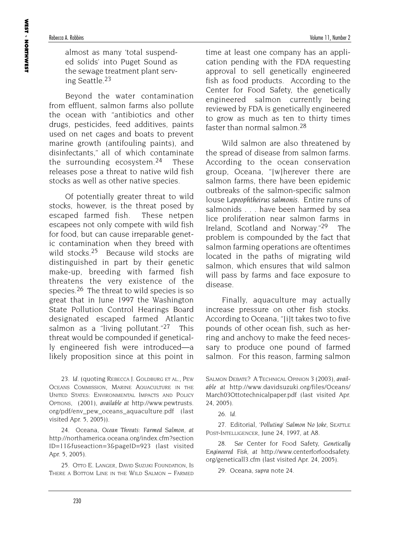almost as many 'total suspended solids' into Puget Sound as the sewage treatment plant serving Seattle.23

Beyond the water contamination from effluent, salmon farms also pollute the ocean with "antibiotics and other drugs, pesticides, feed additives, paints used on net cages and boats to prevent marine growth (antifouling paints), and disinfectants," all of which contaminate the surrounding ecosystem.<sup>24</sup> These releases pose a threat to native wild fish stocks as well as other native species.

Of potentially greater threat to wild stocks, however, is the threat posed by escaped farmed fish. These netpen escapees not only compete with wild fish for food, but can cause irreparable genetic contamination when they breed with wild stocks.<sup>25</sup> Because wild stocks are distinguished in part by their genetic make-up, breeding with farmed fish threatens the very existence of the species.26 The threat to wild species is so great that in June 1997 the Washington State Pollution Control Hearings Board designated escaped farmed Atlantic salmon as a "living pollutant."<sup>27</sup> This threat would be compounded if genetically engineered fish were introduced—a likely proposition since at this point in

23. *Id.* (quoting REBECCA J. GOLDBURG ET AL., PEW OCEANS COMMISSION, MARINE AQUACULTURE IN THE UNITED STATES: ENVIRONMENTAL IMPACTS AND POLICY OPTIONS*,* (2001), *available at* http://www.pewtrusts. org/pdf/env\_pew\_oceans\_aquaculture.pdf (last visited Apr. 5, 2005)).

24. Oceana, *Ocean Threats: Farmed Salmon, at* http://northamerica.oceana.org/index.cfm?section ID=11&fuseaction=3&pageID=923 (last visited Apr. 5, 2005).

25. OTTO E. LANGER, DAVID SUZUKI FOUNDATION, IS THERE A BOTTOM LINE IN THE WILD SALMON – FARMED

time at least one company has an application pending with the FDA requesting approval to sell genetically engineered fish as food products. According to the Center for Food Safety, the genetically engineered salmon currently being reviewed by FDA is genetically engineered to grow as much as ten to thirty times faster than normal salmon.28

Wild salmon are also threatened by the spread of disease from salmon farms. According to the ocean conservation group, Oceana, "[w]herever there are salmon farms, there have been epidemic outbreaks of the salmon-specific salmon louse *Lepeophtheirus salmonis*. Entire runs of salmonids . . . have been harmed by sea lice proliferation near salmon farms in Ireland, Scotland and Norway."29 The problem is compounded by the fact that salmon farming operations are oftentimes located in the paths of migrating wild salmon, which ensures that wild salmon will pass by farms and face exposure to disease.

Finally, aquaculture may actually increase pressure on other fish stocks. According to Oceana, "[i]t takes two to five pounds of other ocean fish, such as herring and anchovy to make the feed necessary to produce one pound of farmed salmon. For this reason, farming salmon

27. Editorial, *'Polluting' Salmon No Joke*, SEATTLE POST-INTELLIGENCER, June 24, 1997, at A8.

28. *See* Center for Food Safety, *Genetically Engineered Fish*, *at* http://www.centerforfoodsafety. org/geneticall3.cfm (last visited Apr. 24, 2005).

29. Oceana, *supra* note 24*.*

SALMON DEBATE? A TECHNICAL OPINION 3 (2003), *available at* http://www.davidsuzuki.org/files/Oceans/ March03Ottotechnicalpaper.pdf (last visited Apr. 24, 2005).

<sup>26.</sup> *Id.*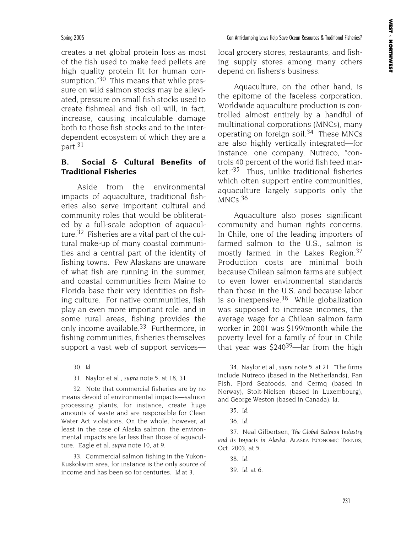creates a net global protein loss as most of the fish used to make feed pellets are high quality protein fit for human consumption."30 This means that while pressure on wild salmon stocks may be alleviated, pressure on small fish stocks used to create fishmeal and fish oil will, in fact, increase, causing incalculable damage both to those fish stocks and to the interdependent ecosystem of which they are a part.31

# **B. Social & Cultural Benefits of Traditional Fisheries**

Aside from the environmental impacts of aquaculture, traditional fisheries also serve important cultural and community roles that would be obliterated by a full-scale adoption of aquaculture.32 Fisheries are a vital part of the cultural make-up of many coastal communities and a central part of the identity of fishing towns. Few Alaskans are unaware of what fish are running in the summer, and coastal communities from Maine to Florida base their very identities on fishing culture. For native communities, fish play an even more important role, and in some rural areas, fishing provides the only income available.33 Furthermore, in fishing communities, fisheries themselves support a vast web of support services—

30. *Id.*

31. Naylor et al., *supra* note 5, at 18, 31.

32. Note that commercial fisheries are by no means devoid of environmental impacts—salmon processing plants, for instance, create huge amounts of waste and are responsible for Clean Water Act violations. On the whole, however, at least in the case of Alaska salmon, the environmental impacts are far less than those of aquaculture. Eagle et al. *supra* note 10, at 9.

33. Commercial salmon fishing in the Yukon-Kuskokwim area, for instance is the only source of income and has been so for centuries. *Id.*at 3*.*

local grocery stores, restaurants, and fishing supply stores among many others depend on fishers's business.

Aquaculture, on the other hand, is the epitome of the faceless corporation. Worldwide aquaculture production is controlled almost entirely by a handful of multinational corporations (MNCs), many operating on foreign soil.34 These MNCs are also highly vertically integrated—for instance, one company, Nutreco, "controls 40 percent of the world fish feed market."35 Thus, unlike traditional fisheries which often support entire communities, aquaculture largely supports only the  $MNCs.$ <sup>36</sup>

Aquaculture also poses significant community and human rights concerns. In Chile, one of the leading importers of farmed salmon to the U.S., salmon is mostly farmed in the Lakes Region.<sup>37</sup> Production costs are minimal both because Chilean salmon farms are subject to even lower environmental standards than those in the U.S. and because labor is so inexpensive. $38$  While globalization was supposed to increase incomes, the average wage for a Chilean salmon farm worker in 2001 was \$199/month while the poverty level for a family of four in Chile that year was  $$240^{39}$ —far from the high

34. Naylor et al., *supra* note 5, at 21. "The firms include Nutreco (based in the Netherlands), Pan Fish, Fjord Seafoods, and Cermq (based in Norway), Stolt-Nielsen (based in Luxembourg), and George Weston (based in Canada). *Id.*

37. Neal Gilbertsen, *The Global Salmon Industry and its Impacts in Alaska*, ALASKA ECONOMIC TRENDS, Oct. 2003, at 5.

38. *Id.*

39. *Id*. at 6.

<sup>35.</sup> *Id.*

<sup>36.</sup> *Id.*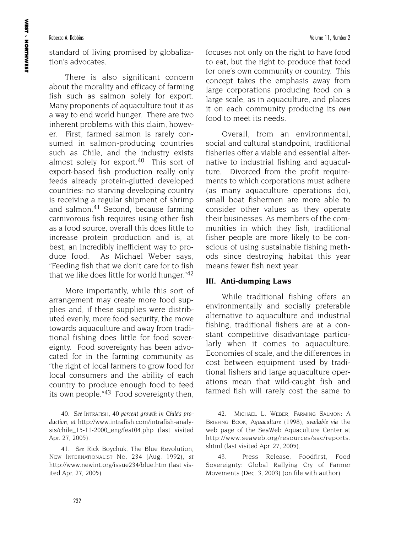standard of living promised by globalization's advocates.

There is also significant concern about the morality and efficacy of farming fish such as salmon solely for export. Many proponents of aquaculture tout it as a way to end world hunger. There are two inherent problems with this claim, however. First, farmed salmon is rarely consumed in salmon-producing countries such as Chile, and the industry exists almost solely for export.<sup>40</sup> This sort of export-based fish production really only feeds already protein-glutted developed countries: no starving developing country is receiving a regular shipment of shrimp and salmon.41 Second, because farming carnivorous fish requires using other fish as a food source, overall this does little to increase protein production and is, at best, an incredibly inefficient way to produce food. As Michael Weber says, "Feeding fish that we don't care for to fish that we like does little for world hunger."42

More importantly, while this sort of arrangement may create more food supplies and, if these supplies were distributed evenly, more food security, the move towards aquaculture and away from traditional fishing does little for food sovereignty. Food sovereignty has been advocated for in the farming community as "the right of local farmers to grow food for local consumers and the ability of each country to produce enough food to feed its own people."43 Food sovereignty then,

40. *See* INTRAFISH, *40 percent growth in Chile's production, at* http://www.intrafish.com/intrafish-analysis/chile\_15-11-2000\_eng/feat04.php (last visited Apr. 27, 2005).

41. *See* Rick Boychuk, The Blue Revolution, NEW INTERNATIONALIST No. 234 (Aug. 1992), *at* http://www.newint.org/issue234/blue.htm (last visited Apr. 27, 2005)*.*

focuses not only on the right to have food to eat, but the right to produce that food for one's own community or country. This concept takes the emphasis away from large corporations producing food on a large scale, as in aquaculture, and places it on each community producing its *own* food to meet its needs.

Overall, from an environmental, social and cultural standpoint, traditional fisheries offer a viable and essential alternative to industrial fishing and aquaculture. Divorced from the profit requirements to which corporations must adhere (as many aquaculture operations do), small boat fishermen are more able to consider other values as they operate their businesses. As members of the communities in which they fish, traditional fisher people are more likely to be conscious of using sustainable fishing methods since destroying habitat this year means fewer fish next year.

# **III. Anti-dumping Laws**

While traditional fishing offers an environmentally and socially preferable alternative to aquaculture and industrial fishing, traditional fishers are at a constant competitive disadvantage particularly when it comes to aquaculture. Economies of scale, and the differences in cost between equipment used by traditional fishers and large aquaculture operations mean that wild-caught fish and farmed fish will rarely cost the same to

42. MICHAEL L. WEBER, FARMING SALMON: A BRIEFING BOOK, *Aquaculture* (1998), *available via* the web page of the SeaWeb Aquaculture Center at http://www.seaweb.org/resources/sac/reports. shtml (last visited Apr. 27, 2005).

43. Press Release, Foodfirst, Food Sovereignty: Global Rallying Cry of Farmer Movements (Dec. 3, 2003) (on file with author).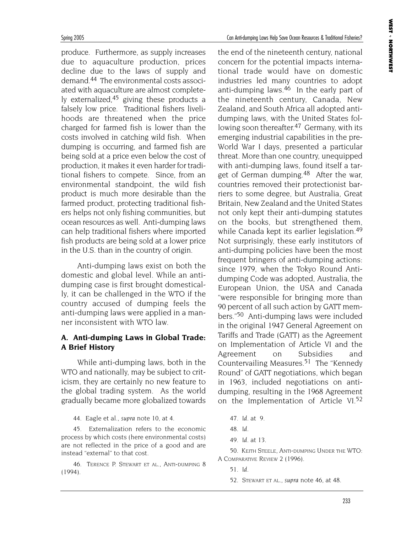produce. Furthermore, as supply increases due to aquaculture production, prices decline due to the laws of supply and demand.44 The environmental costs associated with aquaculture are almost completely externalized,<sup>45</sup> giving these products a falsely low price. Traditional fishers livelihoods are threatened when the price charged for farmed fish is lower than the costs involved in catching wild fish. When dumping is occurring, and farmed fish are being sold at a price even below the cost of production, it makes it even harder for traditional fishers to compete. Since, from an environmental standpoint, the wild fish product is much more desirable than the farmed product, protecting traditional fishers helps not only fishing communities, but ocean resources as well. Anti-dumping laws can help traditional fishers where imported fish products are being sold at a lower price in the U.S. than in the country of origin.

Anti-dumping laws exist on both the domestic and global level. While an antidumping case is first brought domestically, it can be challenged in the WTO if the country accused of dumping feels the anti-dumping laws were applied in a manner inconsistent with WTO law.

# **A. Anti-dumping Laws in Global Trade: A Brief History**

While anti-dumping laws, both in the WTO and nationally, may be subject to criticism, they are certainly no new feature to the global trading system. As the world gradually became more globalized towards

44. Eagle et al., *supra* note 10, at 4.

45. Externalization refers to the economic process by which costs (here environmental costs) are not reflected in the price of a good and are instead "external" to that cost.

46. TERENCE P. STEWART ET AL., ANTI-DUMPING 8 (1994).

the end of the nineteenth century, national concern for the potential impacts international trade would have on domestic industries led many countries to adopt anti-dumping laws.46 In the early part of the nineteenth century, Canada, New Zealand, and South Africa all adopted antidumping laws, with the United States following soon thereafter.<sup>47</sup> Germany, with its emerging industrial capabilities in the pre-World War I days, presented a particular threat. More than one country, unequipped with anti-dumping laws, found itself a target of German dumping.<sup>48</sup> After the war, countries removed their protectionist barriers to some degree, but Australia, Great Britain, New Zealand and the United States not only kept their anti-dumping statutes on the books, but strengthened them, while Canada kept its earlier legislation.<sup>49</sup> Not surprisingly, these early institutors of anti-dumping policies have been the most frequent bringers of anti-dumping actions: since 1979, when the Tokyo Round Antidumping Code was adopted, Australia, the European Union, the USA and Canada "were responsible for bringing more than 90 percent of all such action by GATT members."50 Anti-dumping laws were included in the original 1947 General Agreement on Tariffs and Trade (GATT) as the Agreement on Implementation of Article VI and the Agreement on Subsidies and Countervailing Measures.<sup>51</sup> The "Kennedy" Round" of GATT negotiations, which began in 1963, included negotiations on antidumping, resulting in the 1968 Agreement on the Implementation of Article VI.52

- 47. *Id.* at 9.
- 48. *Id.*
- 49. *Id.* at 13.

50. KEITH STEELE, ANTI-DUMPING UNDER THE WTO: A COMPARATIVE REVIEW 2 (1996).

- 51. *Id.*
- 52. STEWART ET AL., *supra* note 46, at 48.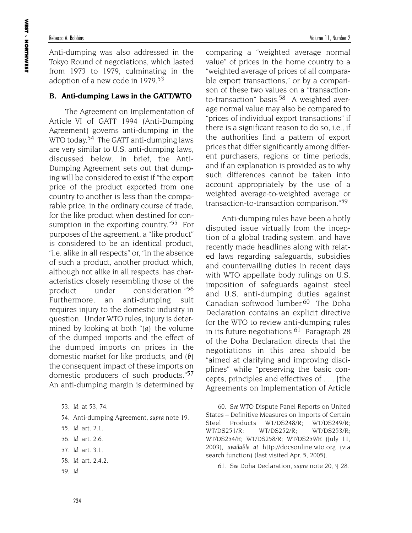# Rebecca A. Robbins **Volume 11**, Number 2

Anti-dumping was also addressed in the Tokyo Round of negotiations, which lasted from 1973 to 1979, culminating in the adoption of a new code in 1979.<sup>53</sup>

# **B. Anti-dumping Laws in the GATT/WTO**

The Agreement on Implementation of Article VI of GATT 1994 (Anti-Dumping Agreement) governs anti-dumping in the WTO today.<sup>54</sup> The GATT anti-dumping laws are very similar to U.S. anti-dumping laws, discussed below. In brief, the Anti-Dumping Agreement sets out that dumping will be considered to exist if "the export price of the product exported from one country to another is less than the comparable price, in the ordinary course of trade, for the like product when destined for consumption in the exporting country."55 For purposes of the agreement, a "like product" is considered to be an identical product, "i.e. alike in all respects" or, "in the absence of such a product, another product which, although not alike in all respects, has characteristics closely resembling those of the product under consideration."56 Furthermore, an anti-dumping suit requires injury to the domestic industry in question. Under WTO rules, injury is determined by looking at both "*(a)* the volume of the dumped imports and the effect of the dumped imports on prices in the domestic market for like products, and *(b)* the consequent impact of these imports on domestic producers of such products."57 An anti-dumping margin is determined by

- 54. Anti-dumping Agreement, *supra* note 19.
- 55. *Id.* art. 2.1.
- 56. *Id.* art. 2.6.
- 57. *Id.* art. 3.1.
- 58. *Id.* art. 2.4.2.
- 59. *Id.*

comparing a "weighted average normal value" of prices in the home country to a "weighted average of prices of all comparable export transactions," or by a comparison of these two values on a "transactionto-transaction" basis.<sup>58</sup> A weighted average normal value may also be compared to "prices of individual export transactions" if there is a significant reason to do so, i.e., if the authorities find a pattern of export prices that differ significantly among different purchasers, regions or time periods, and if an explanation is provided as to why such differences cannot be taken into account appropriately by the use of a weighted average-to-weighted average or transaction-to-transaction comparison."59

Anti-dumping rules have been a hotly disputed issue virtually from the inception of a global trading system, and have recently made headlines along with related laws regarding safeguards, subsidies and countervailing duties in recent days with WTO appellate body rulings on U.S. imposition of safeguards against steel and U.S. anti-dumping duties against Canadian softwood lumber.<sup>60</sup> The Doha Declaration contains an explicit directive for the WTO to review anti-dumping rules in its future negotiations.<sup>61</sup> Paragraph 28 of the Doha Declaration directs that the negotiations in this area should be "aimed at clarifying and improving disciplines" while "preserving the basic concepts, principles and effectives of . . . [the Agreements on Implementation of Article

60. *See* WTO Dispute Panel Reports on United States – Definitive Measures on Imports of Certain Steel Products WT/DS248/R; WT/DS249/R; WT/DS251/R; WT/DS252/R; WT/DS253/R; WT/DS254/R; WT/DS258/R; WT/DS259/R (July 11, 2003), *available at* http://docsonline.wto.org (via search function) (last visited Apr. 5, 2005).

61. *See* Doha Declaration, *supra* note 20, ¶ 28.

<sup>53.</sup> *Id.* at 53, 74.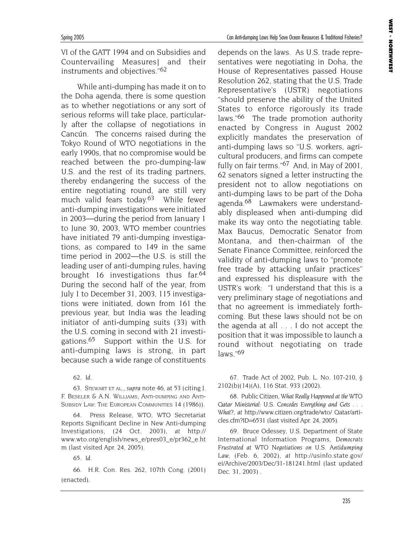**WEST** 

NORTHWEST

Spring 2005 Can Anti-dumping Laws Help Save Ocean Resources & Traditional Fisheries?

VI of the GATT 1994 and on Subsidies and Countervailing Measures] and their instruments and objectives."62

While anti-dumping has made it on to the Doha agenda, there is some question as to whether negotiations or any sort of serious reforms will take place, particularly after the collapse of negotiations in Cancún. The concerns raised during the Tokyo Round of WTO negotiations in the early 1990s, that no compromise would be reached between the pro-dumping-law U.S. and the rest of its trading partners, thereby endangering the success of the entire negotiating round, are still very much valid fears today.<sup>63</sup> While fewer anti-dumping investigations were initiated in 2003—during the period from January 1 to June 30, 2003, WTO member countries have initiated 79 anti-dumping investigations, as compared to 149 in the same time period in 2002—the U.S. is still the leading user of anti-dumping rules, having brought 16 investigations thus far.<sup>64</sup> During the second half of the year, from July 1 to December 31, 2003, 115 investigations were initiated, down from 161 the previous year, but India was the leading initiator of anti-dumping suits (33) with the U.S. coming in second with 21 investigations.65 Support within the U.S. for anti-dumping laws is strong, in part because such a wide range of constituents

62. *Id.*

63. STEWART ET AL., *supra* note 46, at 53 (citing J. F. BESELER & A.N. WILLIAMS, ANTI-DUMPING AND ANTI-SUBSIDY LAW: THE EUROPEAN COMMUNITIES 14 (1986)).

64. Press Release, WTO, WTO Secretariat Reports Significant Decline in New Anti-dumping Investigations, (24 Oct. 2003), *at* http:// www.wto.org/english/news\_e/pres03\_e/pr362\_e.ht m (last visited Apr. 24, 2005).

65. *Id.*

66. H.R. Con. Res. 262, 107th Cong. (2001) (enacted).

depends on the laws. As U.S. trade representatives were negotiating in Doha, the House of Representatives passed House Resolution 262, stating that the U.S. Trade Representative's (USTR) negotiations "should preserve the ability of the United States to enforce rigorously its trade laws."<sup>66</sup> The trade promotion authority enacted by Congress in August 2002 explicitly mandates the preservation of anti-dumping laws so "U.S. workers, agricultural producers, and firms can compete fully on fair terms."<sup>67</sup> And, in May of 2001, 62 senators signed a letter instructing the president not to allow negotiations on anti-dumping laws to be part of the Doha agenda.<sup>68</sup> Lawmakers were understandably displeased when anti-dumping did make its way onto the negotiating table. Max Baucus, Democratic Senator from Montana, and then-chairman of the Senate Finance Committee, reinforced the validity of anti-dumping laws to "promote free trade by attacking unfair practices" and expressed his displeasure with the USTR's work: "I understand that this is a very preliminary stage of negotiations and that no agreement is immediately forthcoming. But these laws should not be on the agenda at all . . . I do not accept the position that it was impossible to launch a round without negotiating on trade  $laws."69$ 

67. Trade Act of 2002, Pub. L. No. 107-210, § 2102(b)(14)(A), 116 Stat. 933 (2002).

68. Public Citizen, *What Really Happened at the WTO Qatar Ministerial: U.S. Concedes Everything and Gets . . . What?*, *at* http://www.citizen.org/trade/wto/ Qatar/articles.cfm?ID=6531 (last visited Apr. 24, 2005).

69. Bruce Odessey*,* U.S. Department of State International Information Programs, *Democrats Frustrated at WTO Negotiations on U.S. Antidumping Law,* (Feb. 6, 2002), *at* http://usinfo.state.gov/ ei/Archive/2003/Dec/31-181241.html (last updated Dec. 31, 2003) .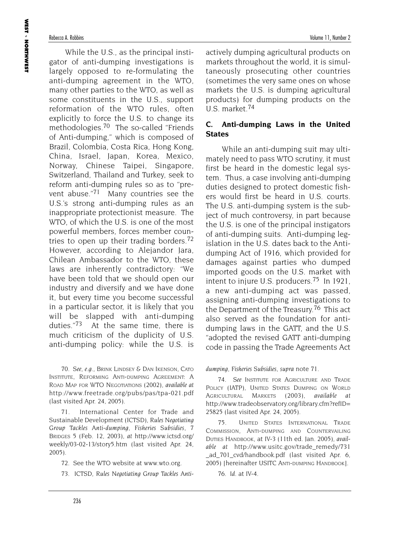While the U.S., as the principal instigator of anti-dumping investigations is largely opposed to re-formulating the anti-dumping agreement in the WTO, many other parties to the WTO, as well as some constituents in the U.S., support reformation of the WTO rules, often explicitly to force the U.S. to change its methodologies.<sup>70</sup> The so-called "Friends of Anti-dumping," which is composed of Brazil, Colombia, Costa Rica, Hong Kong, China, Israel, Japan, Korea, Mexico, Norway, Chinese Taipei, Singapore, Switzerland, Thailand and Turkey, seek to reform anti-dumping rules so as to "prevent abuse."71 Many countries see the U.S.'s strong anti-dumping rules as an inappropriate protectionist measure. The WTO, of which the U.S. is one of the most powerful members, forces member countries to open up their trading borders.<sup>72</sup> However, according to Alejandor Jara, Chilean Ambassador to the WTO, these laws are inherently contradictory: "We have been told that we should open our industry and diversify and we have done it, but every time you become successful in a particular sector, it is likely that you will be slapped with anti-dumping duties."73 At the same time, there is much criticism of the duplicity of U.S. anti-dumping policy: while the U.S. is

70. *See, e.g.,* BRINK LINDSEY & DAN IKENSON, CATO INSTITUTE, REFORMING ANTI-DUMPING AGREEMENT: A ROAD MAP FOR WTO NEGOTIATIONS (2002), *available at* http://www.freetrade.org/pubs/pas/tpa-021.pdf (last visited Apr. 24, 2005).

71. International Center for Trade and Sustainable Development (ICTSD), *Rules Negotiating Group Tackles Anti-dumping, Fisheries Subsidies*, 7 BRIDGES 5 (Feb. 12, 2003), *at* http://www.ictsd.org/ weekly/03-02-13/story5.htm (last visited Apr. 24, 2005).

72. See the WTO website at www.wto.org.

73. ICTSD, *Rules Negotiating Group Tackles Anti-*

actively dumping agricultural products on markets throughout the world, it is simultaneously prosecuting other countries (sometimes the very same ones on whose markets the U.S. is dumping agricultural products) for dumping products on the U.S. market.74

# **C. Anti-dumping Laws in the United States**

While an anti-dumping suit may ultimately need to pass WTO scrutiny, it must first be heard in the domestic legal system. Thus, a case involving anti-dumping duties designed to protect domestic fishers would first be heard in U.S. courts. The U.S. anti-dumping system is the subject of much controversy, in part because the U.S. is one of the principal instigators of anti-dumping suits. Anti-dumping legislation in the U.S. dates back to the Antidumping Act of 1916, which provided for damages against parties who dumped imported goods on the U.S. market with intent to injure U.S. producers.<sup>75</sup> In 1921, a new anti-dumping act was passed, assigning anti-dumping investigations to the Department of the Treasury.<sup>76</sup> This act also served as the foundation for antidumping laws in the GATT, and the U.S. "adopted the revised GATT anti-dumping code in passing the Trade Agreements Act

*dumping, Fisheries Subsidies, supra* note 71.

74. *See* INSTITUTE FOR AGRICULTURE AND TRADE POLICY (IATP), UNITED STATES DUMPING ON WORLD AGRICULTURAL MARKETS (2003), *available at* http://www.tradeobservatory.org/library.cfm?refID= 25825 (last visited Apr. 24, 2005).

75. UNITED STATES INTERNATIONAL TRADE COMMISSION, ANTI-DUMPING AND COUNTERVAILING DUTIES HANDBOOK, at IV-3 (11th ed. Jan. 2005), *available at* http://www.usitc.gov/trade\_remedy/731 \_ad\_701\_cvd/handbook.pdf (last visited Apr. 6, 2005) [hereinafter USITC ANTI-DUMPING HANDBOOK].

76. *Id.* at IV-4.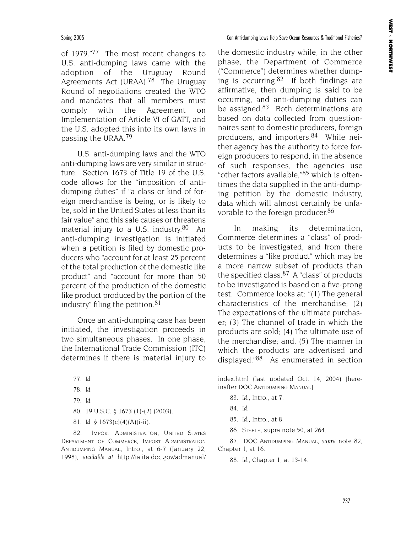**WEST** 

NORTHWEST

Spring 2005 Can Anti-dumping Laws Help Save Ocean Resources & Traditional Fisheries?

of 1979."77 The most recent changes to U.S. anti-dumping laws came with the adoption of the Uruguay Round Agreements Act (URAA).78 The Uruguay Round of negotiations created the WTO and mandates that all members must comply with the Agreement on Implementation of Article VI of GATT, and the U.S. adopted this into its own laws in passing the URAA.79

U.S. anti-dumping laws and the WTO anti-dumping laws are very similar in structure. Section 1673 of Title 19 of the U.S. code allows for the "imposition of antidumping duties" if "a class or kind of foreign merchandise is being, or is likely to be, sold in the United States at less than its fair value" and this sale causes or threatens material injury to a U.S. industry.<sup>80</sup> An anti-dumping investigation is initiated when a petition is filed by domestic producers who "account for at least 25 percent of the total production of the domestic like product" and "account for more than 50 percent of the production of the domestic like product produced by the portion of the industry" filing the petition.81

Once an anti-dumping case has been initiated, the investigation proceeds in two simultaneous phases. In one phase, the International Trade Commission (ITC) determines if there is material injury to

- 79. *Id*.
- 80. 19 U.S.C. § 1673 (1)-(2) (2003).
- 81. *Id.* § 1673(c)(4)(A)(i-ii).

82. IMPORT ADMINISTRATION, UNITED STATES DEPARTMENT OF COMMERCE, IMPORT ADMINISTRATION ANTIDUMPING MANUAL, Intro., at 6-7 (January 22, 1998), *available at* http://ia.ita.doc.gov/admanual/ the domestic industry while, in the other phase, the Department of Commerce ("Commerce") determines whether dumping is occurring.<sup>82</sup> If both findings are affirmative, then dumping is said to be occurring, and anti-dumping duties can be assigned.<sup>83</sup> Both determinations are based on data collected from questionnaires sent to domestic producers, foreign producers, and importers.<sup>84</sup> While neither agency has the authority to force foreign producers to respond, in the absence of such responses, the agencies use "other factors available,"85 which is oftentimes the data supplied in the anti-dumping petition by the domestic industry, data which will almost certainly be unfavorable to the foreign producer.<sup>86</sup>

In making its determination, Commerce determines a "class" of products to be investigated, and from there determines a "like product" which may be a more narrow subset of products than the specified class.<sup>87</sup> A "class" of products to be investigated is based on a five-prong test. Commerce looks at: "(1) The general characteristics of the merchandise; (2) The expectations of the ultimate purchaser; (3) The channel of trade in which the products are sold; (4) The ultimate use of the merchandise; and, (5) The manner in which the products are advertised and displayed."88 As enumerated in section

index.html (last updated Oct. 14, 2004) [hereinafter DOC ANTIDUMPING MANUAL].

- 83. *Id.*, Intro., at 7.
- 84. *Id.*
- 85. *Id.*, Intro., at 8.
- 86. STEELE, supra note 50, at 264.

87. DOC ANTIDUMPING MANUAL, *supra* note 82, Chapter 1, at 16.

88. *Id.,* Chapter 1, at 13-14.

<sup>77.</sup> *Id*.

<sup>78.</sup> *Id*.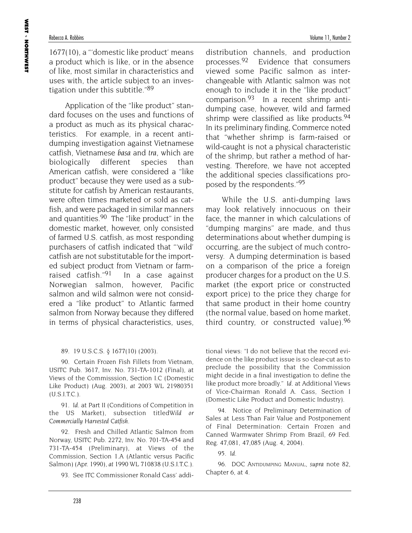### Rebecca A. Robbins **Volume 11, Number 2** and Number 2 and Number 2 and Number 2 and Number 2 and Number 2 and Number 2 and Number 2 and Number 2 and Number 2 and Number 2 and Number 2 and Number 2 and Number 2 and Number 2

1677(10), a "'domestic like product' means a product which is like, or in the absence of like, most similar in characteristics and uses with, the article subject to an investigation under this subtitle."89

Application of the "like product" standard focuses on the uses and functions of a product as much as its physical characteristics. For example, in a recent antidumping investigation against Vietnamese catfish, Vietnamese *basa* and *tra*, which are biologically different species than American catfish, were considered a "like product" because they were used as a substitute for catfish by American restaurants, were often times marketed or sold as catfish, and were packaged in similar manners and quantities.<sup>90</sup> The "like product" in the domestic market, however, only consisted of farmed U.S. catfish, as most responding purchasers of catfish indicated that "'wild' catfish are not substitutable for the imported subject product from Vietnam or farmraised catfish."<sup>91</sup> In a case against Norwegian salmon, however, Pacific salmon and wild salmon were not considered a "like product" to Atlantic farmed salmon from Norway because they differed in terms of physical characteristics, uses, distribution channels, and production processes.92 Evidence that consumers viewed some Pacific salmon as interchangeable with Atlantic salmon was not enough to include it in the "like product" comparison.93 In a recent shrimp antidumping case, however, wild and farmed shrimp were classified as like products.<sup>94</sup> In its preliminary finding, Commerce noted that "whether shrimp is farm-raised or wild-caught is not a physical characteristic of the shrimp, but rather a method of harvesting. Therefore, we have not accepted the additional species classifications proposed by the respondents."95

While the U.S. anti-dumping laws may look relatively innocuous on their face, the manner in which calculations of "dumping margins" are made, and thus determinations about whether dumping is occurring, are the subject of much controversy. A dumping determination is based on a comparison of the price a foreign producer charges for a product on the U.S. market (the export price or constructed export price) to the price they charge for that same product in their home country (the normal value, based on home market, third country, or constructed value).<sup>96</sup>

### 89. 19 U.S.C.S. § 1677(10) (2003).

90. Certain Frozen Fish Fillets from Vietnam, USITC Pub. 3617, Inv. No. 731-TA-1012 (Final), at Views of the Commisssion, Section I.C (Domestic Like Product) (Aug. 2003), *at* 2003 WL 21980351 (U.S.I.T.C.).

91. *Id.* at Part II (Conditions of Competition in the US Market), subsection titled*Wild or Commercially Harvested Catfish*.

92. Fresh and Chilled Atlantic Salmon from Norway, USITC Pub. 2272, Inv. No. 701-TA-454 and 731-TA-454 (Preliminary), at Views of the Commission, Section 1.A (Atlantic versus Pacific Salmon) (Apr. 1990), *at* 1990 WL 710838 (U.S.I.T.C.).

93. See ITC Commissioner Ronald Cass' addi-

tional views: "I do not believe that the record evidence on the like product issue is so clear-cut as to preclude the possibility that the Commission might decide in a final investigation to define the like product more broadly." *Id.* at Additional Views of Vice-Chairman Ronald A. Cass, Section I (Domestic Like Product and Domestic Industry).

94. Notice of Preliminary Determination of Sales at Less Than Fair Value and Postponement of Final Determination: Certain Frozen and Canned Warmwater Shrimp From Brazil, 69 Fed. Reg. 47,081, 47,085 (Aug. 4, 2004).

95. *Id.*

96. DOC ANTIDUMPING MANUAL, *supra* note 82, Chapter 6, at 4.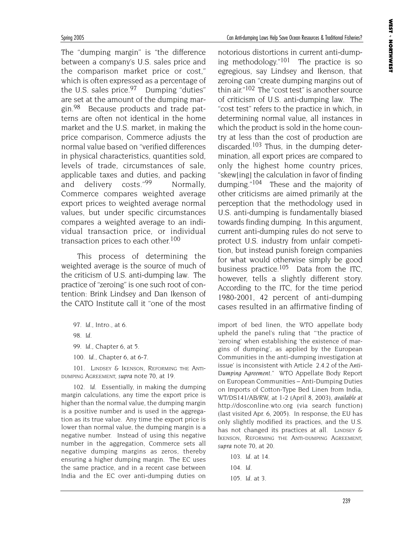Spring 2005 Can Anti-dumping Laws Help Save Ocean Resources & Traditional Fisheries?

The "dumping margin" is "the difference between a company's U.S. sales price and the comparison market price or cost," which is often expressed as a percentage of the U.S. sales price.<sup>97</sup> Dumping "duties" are set at the amount of the dumping margin.98 Because products and trade patterns are often not identical in the home market and the U.S. market, in making the price comparison, Commerce adjusts the normal value based on "verified differences in physical characteristics, quantities sold, levels of trade, circumstances of sale, applicable taxes and duties, and packing and delivery costs."<sup>99</sup> Normally, Commerce compares weighted average export prices to weighted average normal values, but under specific circumstances compares a weighted average to an individual transaction price, or individual transaction prices to each other.<sup>100</sup>

This process of determining the weighted average is the source of much of the criticism of U.S. anti-dumping law. The practice of "zeroing" is one such root of contention: Brink Lindsey and Dan Ikenson of the CATO Institute call it "one of the most

- 99. *Id.*, Chapter 6, at 5.
- 100. *Id.*, Chapter 6, at 6-7.

101. LINDSEY & IKENSON, REFORMING THE ANTI-DUMPING AGREEMENT, *supra* note 70, at 19.

102. *Id.* Essentially, in making the dumping margin calculations, any time the export price is higher than the normal value, the dumping margin is a positive number and is used in the aggregation as its true value. Any time the export price is lower than normal value, the dumping margin is a negative number. Instead of using this negative number in the aggregation, Commerce sets all negative dumping margins as zeros, thereby ensuring a higher dumping margin. The EC uses the same practice, and in a recent case between India and the EC over anti-dumping duties on

notorious distortions in current anti-dumping methodology." $101$  The practice is so egregious, say Lindsey and Ikenson, that zeroing can "create dumping margins out of thin air."102 The "cost test" is another source of criticism of U.S. anti-dumping law. The "cost test" refers to the practice in which, in determining normal value, all instances in which the product is sold in the home country at less than the cost of production are discarded.<sup>103</sup> Thus, in the dumping determination, all export prices are compared to only the highest home country prices, "skew[ing] the calculation in favor of finding dumping."<sup>104</sup> These and the majority of other criticisms are aimed primarily at the perception that the methodology used in U.S. anti-dumping is fundamentally biased towards finding dumping. In this argument, current anti-dumping rules do not serve to protect U.S. industry from unfair competition, but instead punish foreign companies for what would otherwise simply be good business practice.<sup>105</sup> Data from the ITC, however, tells a slightly different story. According to the ITC, for the time period 1980-2001, 42 percent of anti-dumping cases resulted in an affirmative finding of

import of bed linen, the WTO appellate body upheld the panel's ruling that "'the practice of 'zeroing' when establishing 'the existence of margins of dumping', as applied by the European Communities in the anti-dumping investigation at issue' is inconsistent with Article 2.4.2 of the *Anti-Dumping Agreement."* WTO Appellate Body Report on European Communities – Anti-Dumping Duties on Imports of Cotton-Type Bed Linen from India, WT/DS141/AB/RW, at 1-2 (April 8, 2003), *available at* http://dosconline.wto.org (via search function) (last visited Apr. 6, 2005). In response, the EU has only slightly modified its practices, and the U.S. has not changed its practices at all. LINDSEY & IKENSON, REFORMING THE ANTI-DUMPING AGREEMENT, *supra* note 70, at 20.

<sup>97.</sup> *Id.*, Intro., at 6.

<sup>98.</sup> *Id.*

<sup>103.</sup> *Id.* at 14.

<sup>104.</sup> *Id.* 

<sup>105.</sup> *Id.* at 3.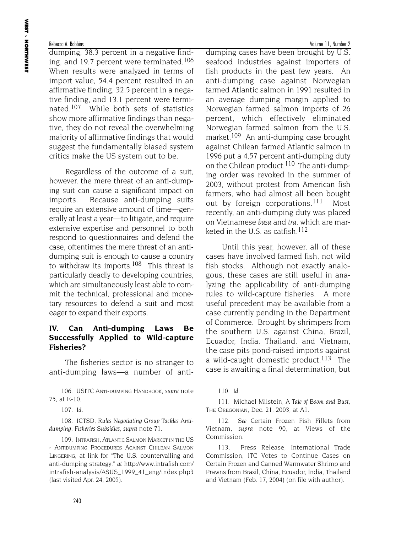dumping, 38.3 percent in a negative finding, and 19.7 percent were terminated.<sup>106</sup> When results were analyzed in terms of import value, 54.4 percent resulted in an affirmative finding, 32.5 percent in a negative finding, and 13.1 percent were terminated.107 While both sets of statistics show more affirmative findings than negative, they do not reveal the overwhelming majority of affirmative findings that would suggest the fundamentally biased system critics make the US system out to be.

Regardless of the outcome of a suit, however, the mere threat of an anti-dumping suit can cause a significant impact on imports. Because anti-dumping suits require an extensive amount of time—generally at least a year—to litigate, and require extensive expertise and personnel to both respond to questionnaires and defend the case, oftentimes the mere threat of an antidumping suit is enough to cause a country to withdraw its imports.108 This threat is particularly deadly to developing countries, which are simultaneously least able to commit the technical, professional and monetary resources to defend a suit and most eager to expand their exports.

# **IV. Can Anti-dumping Laws Be Successfully Applied to Wild-capture Fisheries?**

The fisheries sector is no stranger to anti-dumping laws—a number of anti-

106. USITC ANTI-DUMPING HANDBOOK, *supra* note 75, at E-10.

107. *Id.*

108. ICTSD, *Rules Negotiating Group Tackles Antidumping, Fisheries Subsidies*, *supra* note 71.

109. INTRAFISH, ATLANTIC SALMON MARKET IN THE US - ANTIDUMPING PROCEDURES AGAINST CHILEAN SALMON LINGERING, at link for "The U.S. countervailing and anti-dumping strategy," *at* http://www.intrafish.com/ intrafish-analysis/ASUS\_1999\_41\_eng/index.php3 (last visited Apr. 24, 2005).

dumping cases have been brought by U.S. seafood industries against importers of fish products in the past few years. An anti-dumping case against Norwegian farmed Atlantic salmon in 1991 resulted in an average dumping margin applied to Norwegian farmed salmon imports of 26 percent, which effectively eliminated Norwegian farmed salmon from the U.S. market.<sup>109</sup> An anti-dumping case brought against Chilean farmed Atlantic salmon in 1996 put a 4.57 percent anti-dumping duty on the Chilean product.<sup>110</sup> The anti-dumping order was revoked in the summer of 2003, without protest from American fish farmers, who had almost all been bought out by foreign corporations.<sup>111</sup> Most recently, an anti-dumping duty was placed on Vietnamese *basa* and *tra*, which are marketed in the U.S. as catfish.<sup>112</sup>

Until this year, however, all of these cases have involved farmed fish, not wild fish stocks. Although not exactly analogous, these cases are still useful in analyzing the applicability of anti-dumping rules to wild-capture fisheries. A more useful precedent may be available from a case currently pending in the Department of Commerce. Brought by shrimpers from the southern U.S. against China, Brazil, Ecuador, India, Thailand, and Vietnam, the case pits pond-raised imports against a wild-caught domestic product.<sup>113</sup> The case is awaiting a final determination, but

110. *Id.*

111. Michael Milstein, *A Tale of Boom and Bust*, THE OREGONIAN, Dec. 21, 2003, at A1.

112. *See* Certain Frozen Fish Fillets from Vietnam, *supra* note 90, at Views of the Commission.

113. Press Release, International Trade Commission, ITC Votes to Continue Cases on Certain Frozen and Canned Warmwater Shrimp and Prawns from Brazil, China, Ecuador, India, Thailand and Vietnam (Feb. 17, 2004) (on file with author).

Rebecca A. Robbins **Volume 11, Number 2** and  $\blacksquare$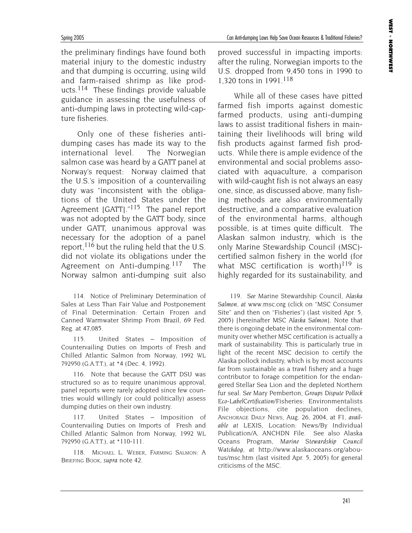Spring 2005 Can Anti-dumping Laws Help Save Ocean Resources & Traditional Fisheries?

the preliminary findings have found both material injury to the domestic industry and that dumping is occurring, using wild and farm-raised shrimp as like products.114 These findings provide valuable guidance in assessing the usefulness of anti-dumping laws in protecting wild-capture fisheries.

Only one of these fisheries antidumping cases has made its way to the international level. The Norwegian salmon case was heard by a GATT panel at Norway's request: Norway claimed that the U.S.'s imposition of a countervailing duty was "inconsistent with the obligations of the United States under the Agreement [GATT]."<sup>115</sup> The panel report was not adopted by the GATT body, since under GATT, unanimous approval was necessary for the adoption of a panel report, <sup>116</sup> but the ruling held that the U.S. did not violate its obligations under the Agreement on Anti-dumping.117 The Norway salmon anti-dumping suit also

114. Notice of Preliminary Determination of Sales at Less Than Fair Value and Postponement of Final Determination: Certain Frozen and Canned Warmwater Shrimp From Brazil, 69 Fed. Reg. at 47,085.

115. United States – Imposition of Countervailing Duties on Imports of Fresh and Chilled Atlantic Salmon from Norway, 1992 WL 792950 (G.A.T.T.), at \*4 (Dec. 4, 1992).

116. Note that because the GATT DSU was structured so as to require unanimous approval, panel reports were rarely adopted since few countries would willingly (or could politically) assess dumping duties on their own industry.

117. United States – Imposition of Countervailing Duties on Imports of Fresh and Chilled Atlantic Salmon from Norway, 1992 WL 792950 (G.A.T.T.), at \*110-111.

118. MICHAEL L. WEBER, FARMING SALMON: A BRIEFING BOOK, *supra* note 42.

proved successful in impacting imports: after the ruling, Norwegian imports to the U.S. dropped from 9,450 tons in 1990 to 1,320 tons in 1991.118

While all of these cases have pitted farmed fish imports against domestic farmed products, using anti-dumping laws to assist traditional fishers in maintaining their livelihoods will bring wild fish products against farmed fish products. While there is ample evidence of the environmental and social problems associated with aquaculture, a comparison with wild-caught fish is not always an easy one, since, as discussed above, many fishing methods are also environmentally destructive, and a comparative evaluation of the environmental harms, although possible, is at times quite difficult. The Alaskan salmon industry, which is the only Marine Stewardship Council (MSC) certified salmon fishery in the world (for what MSC certification is worth)<sup>119</sup> is highly regarded for its sustainability, and

119. *See* Marine Stewardship Council, *Alaska Salmon*, *at* www.msc.org (click on "MSC Consumer Site" and then on "Fisheries") (last visited Apr. 5, 2005) [hereinafter *MSC Alaska Salmon*]. Note that there is ongoing debate in the environmental community over whether MSC certification is actually a mark of sustainability. This is particularly true in light of the recent MSC decision to certify the Alaska pollock industry, which is by most accounts far from sustainable as a trawl fishery and a huge contributor to forage competition for the endangered Stellar Sea Lion and the depleted Northern fur seal. *See* Mary Pemberton, *Groups Dispute Pollock Eco-LabelCertification*/Fisheries: Environmentalists File objections, cite population declines, ANCHORAGE DAILY NEWS, Aug. 26, 2004, at F1, *available at* LEXIS, Location: News/By Individual Publication/A, ANCHDN File. See also Alaska Oceans Program, *Marine Stewardship Council Watchdog*, *at* http://www.alaskaoceans.org/aboutus/msc.htm (last visited Apr. 5, 2005) for general criticisms of the MSC.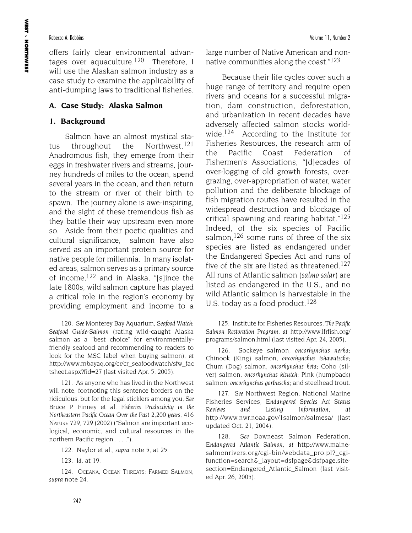offers fairly clear environmental advantages over aquaculture.<sup>120</sup> Therefore, I will use the Alaskan salmon industry as a case study to examine the applicability of anti-dumping laws to traditional fisheries.

# **A. Case Study: Alaska Salmon**

# **1. Background**

Salmon have an almost mystical status throughout the Northwest.<sup>121</sup> Anadromous fish, they emerge from their eggs in freshwater rivers and streams, journey hundreds of miles to the ocean, spend several years in the ocean, and then return to the stream or river of their birth to spawn. The journey alone is awe-inspiring, and the sight of these tremendous fish as they battle their way upstream even more so. Aside from their poetic qualities and cultural significance, salmon have also served as an important protein source for native people for millennia. In many isolated areas, salmon serves as a primary source of income,122 and in Alaska, "[s]ince the late 1800s, wild salmon capture has played a critical role in the region's economy by providing employment and income to a

120. *See* Monterey Bay Aquarium, *Seafood Watch: Seafood Guide-Salmon* (rating wild-caught Alaska salmon as a "best choice" for environmentallyfriendly seafood and recommending to readers to look for the MSC label when buying salmon), *at* http://www.mbayaq.org/cr/cr\_seafoodwatch/sfw\_fac tsheet.aspx?fid=27 (last visited Apr. 5, 2005).

121. As anyone who has lived in the Northwest will note, footnoting this sentence borders on the ridiculous, but for the legal sticklers among you, *See* Bruce P. Finney et al. *Fisheries Productivity in the Northeastern Pacific Ocean Over the Past 2,200 years,* 416 NATURE 729, 729 (2002) ("Salmon are important ecological, economic, and cultural resources in the northern Pacific region . . . .").

122. Naylor et al., *supra* note 5, at 25.

124. OCEANA, OCEAN THREATS: FARMED SALMON, *supra* note 24.

large number of Native American and nonnative communities along the coast."123

Because their life cycles cover such a huge range of territory and require open rivers and oceans for a successful migration, dam construction, deforestation, and urbanization in recent decades have adversely affected salmon stocks worldwide.<sup>124</sup> According to the Institute for Fisheries Resources, the research arm of the Pacific Coast Federation of Fishermen's Associations, "[d]ecades of over-logging of old growth forests, overgrazing, over-appropriation of water, water pollution and the deliberate blockage of fish migration routes have resulted in the widespread destruction and blockage of critical spawning and rearing habitat."125 Indeed, of the six species of Pacific salmon,<sup>126</sup> some runs of three of the six species are listed as endangered under the Endangered Species Act and runs of five of the six are listed as threatened.<sup>127</sup> All runs of Atlantic salmon (*salmo salar*) are listed as endangered in the U.S., and no wild Atlantic salmon is harvestable in the U.S. today as a food product.<sup>128</sup>

125. Institute for Fisheries Resources, *The Pacific Salmon Restoration Program*, *at* http://www.ifrfish.org/ programs/salmon.html (last visited Apr. 24, 2005).

126. Sockeye salmon, *oncorhynchus nerka;* Chinook (King) salmon, *oncorhynchus tshawutscha;* Chum (Dog) salmon, *oncorhynchus keta*; Coho (silver) salmon, *oncorhynchus kisutch*; Pink (humpback) salmon; *oncorhynchus gorbuscha*; and steelhead trout.

127. *See* Northwest Region, National Marine Fisheries Services, *Endangered Species Act Status Reviews and Listing Information*, *at* http://www.nwr.noaa.gov/1salmon/salmesa/ (last updated Oct. 21, 2004).

128. *See* Downeast Salmon Federation, *Endangered Atlantic Salmon*, *at* http://www.mainesalmonrivers.org/cgi-bin/webdata\_pro.pl? cgifunction=search&\_layout=dsfpage&dsfpage.sitesection=Endangered\_Atlantic\_Salmon (last visited Apr. 26, 2005).

<sup>123.</sup> *Id.* at 19.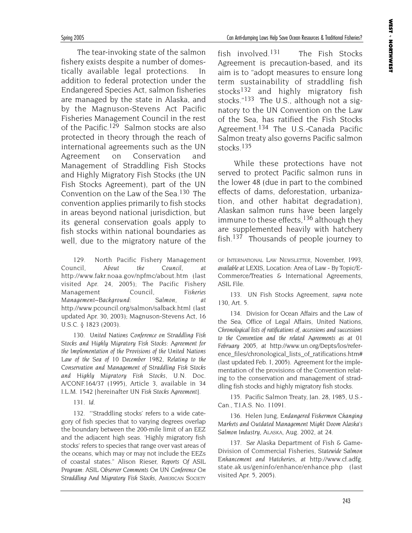The tear-invoking state of the salmon fishery exists despite a number of domestically available legal protections. In addition to federal protection under the Endangered Species Act, salmon fisheries are managed by the state in Alaska, and by the Magnuson-Stevens Act Pacific Fisheries Management Council in the rest of the Pacific.<sup>129</sup> Salmon stocks are also protected in theory through the reach of international agreements such as the UN Agreement on Conservation and Management of Straddling Fish Stocks and Highly Migratory Fish Stocks (the UN Fish Stocks Agreement), part of the UN Convention on the Law of the Sea.130 The convention applies primarily to fish stocks in areas beyond national jurisdiction, but its general conservation goals apply to fish stocks within national boundaries as well, due to the migratory nature of the

129. North Pacific Fishery Management Council, *About the Council*, *at* http://www.fakr.noaa.gov/npfmc/about.htm (last visited Apr. 24, 2005); The Pacific Fishery Management Council, *Fisheries Management–Background: Salmon, at* http://www.pcouncil.org/salmon/salback.html (last updated Apr. 30, 2003); Magnuson-Stevens Act, 16 U.S.C. § 1823 (2003).

130. *United Nations Conference on Straddling Fish Stocks and Highly Migratory Fish Stocks: Agreement for the Implementation of the Provisions of the United Nations Law of the Sea of 10 December 1982, Relating to the Conservation and Management of Straddling Fish Stocks and Highly Migratory Fish Stocks,* U.N. Doc. A/CONF.164/37 (1995), Article 3, available in 34 I.L.M. 1542 [hereinafter *UN Fish Stocks Agreement*].

131. *Id.*

132. "'Straddling stocks' refers to a wide category of fish species that to varying degrees overlap the boundary between the 200-mile limit of an EEZ and the adjacent high seas. 'Highly migratory fish stocks' refers to species that range over vast areas of the oceans, which may or may not include the EEZs of coastal states." Alison Rieser, *Reports Of ASIL Program: ASIL Observer Comments On UN Conference On Straddling And Migratory Fish Stocks*, AMERICAN SOCIETY

fish involved.131 The Fish Stocks Agreement is precaution-based, and its aim is to "adopt measures to ensure long term sustainability of straddling fish stocks<sup>132</sup> and highly migratory fish stocks."<sup>133</sup> The U.S., although not a signatory to the UN Convention on the Law of the Sea, has ratified the Fish Stocks Agreement.<sup>134</sup> The U.S.-Canada Pacific Salmon treaty also governs Pacific salmon stocks.135

While these protections have not served to protect Pacific salmon runs in the lower 48 (due in part to the combined effects of dams, deforestation, urbanization, and other habitat degradation), Alaskan salmon runs have been largely immune to these effects,  $136$  although they are supplemented heavily with hatchery fish.137 Thousands of people journey to

OF INTERNATIONAL LAW NEWSLETTER, November, 1993, *available at* LEXIS, Location: Area of Law - By Topic/E-Commerce/Treaties & International Agreements, ASIL File.

133. UN Fish Stocks Agreement, *supra* note 130, Art. 5.

134. Division for Ocean Affairs and the Law of the Sea, Office of Legal Affairs, United Nations, *Chronological lists of ratifications of, accessions and successions to the Convention and the related Agreements as at 01 February 2005*, *at* http://www.un.org/Depts/los/reference\_files/chronological\_lists\_of\_ratifications.htm# (last updated Feb. 1, 2005). Agreement for the implementation of the provisions of the Convention relating to the conservation and management of straddling fish stocks and highly migratory fish stocks.

135. Pacific Salmon Treaty, Jan. 28, 1985, U.S.- Can., T.I.A.S. No. 11091.

136. Helen Jung, *Endangered Fishermen Changing Markets and Outdated Management Might Doom Alaska's Salmon Industry*, ALASKA, Aug. 2002, at 24.

137. *See* Alaska Department of Fish & Game-Division of Commercial Fisheries, *Statewide Salmon Enhancement and Hatcherie*s, *at* http://www.cf.adfg. state.ak.us/geninfo/enhance/enhance.php (last visited Apr. 5, 2005).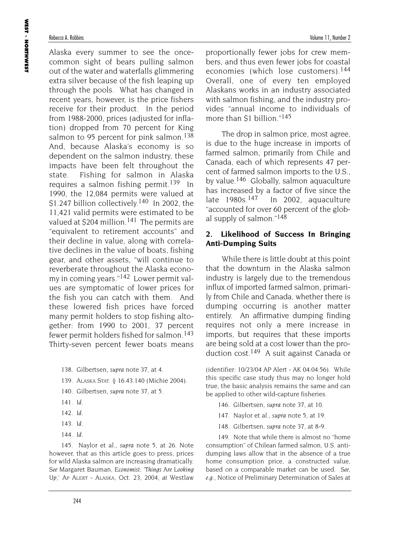Alaska every summer to see the oncecommon sight of bears pulling salmon out of the water and waterfalls glimmering extra silver because of the fish leaping up through the pools. What has changed in recent years, however, is the price fishers receive for their product. In the period from 1988-2000, prices (adjusted for inflation) dropped from 70 percent for King salmon to 95 percent for pink salmon.<sup>138</sup> And, because Alaska's economy is so dependent on the salmon industry, these impacts have been felt throughout the state. Fishing for salmon in Alaska requires a salmon fishing permit.<sup>139</sup> In 1990, the 12,084 permits were valued at \$1.247 billion collectively.<sup>140</sup> In 2002, the 11,421 valid permits were estimated to be valued at \$204 million.<sup>141</sup> The permits are "equivalent to retirement accounts" and their decline in value, along with correlative declines in the value of boats, fishing gear, and other assets, "will continue to reverberate throughout the Alaska economy in coming years."142 Lower permit values are symptomatic of lower prices for the fish you can catch with them. And these lowered fish prices have forced many permit holders to stop fishing altogether: from 1990 to 2001, 37 percent fewer permit holders fished for salmon.<sup>143</sup> Thirty-seven percent fewer boats means

- 139. ALASKA STAT. § 16.43.140 (Michie 2004).
- 140. Gilbertsen, *supra* note 37, at 5.
- 141. *Id.*
- 142. *Id.*
- 143. *Id.*
- 144. *Id.*

145. Naylor et al., *supra* note 5, at 26. Note however, that as this article goes to press, prices for wild Alaska salmon are increasing dramatically. *See* Margaret Bauman, *Economist: 'Things Are Looking Up,'* AP ALERT - ALASKA, Oct. 23, 2004, *at* Westlaw

proportionally fewer jobs for crew members, and thus even fewer jobs for coastal economies (which lose customers).<sup>144</sup> Overall, one of every ten employed Alaskans works in an industry associated with salmon fishing, and the industry provides "annual income to individuals of more than \$1 billion."145

The drop in salmon price, most agree, is due to the huge increase in imports of farmed salmon, primarily from Chile and Canada, each of which represents 47 percent of farmed salmon imports to the U.S., by value.146 Globally, salmon aquaculture has increased by a factor of five since the late  $1980s$ .<sup>147</sup> In 2002, aquaculture "accounted for over 60 percent of the global supply of salmon."148

# **2. Likelihood of Success In Bringing Anti-Dumping Suits**

While there is little doubt at this point that the downturn in the Alaska salmon industry is largely due to the tremendous influx of imported farmed salmon, primarily from Chile and Canada, whether there is dumping occurring is another matter entirely. An affirmative dumping finding requires not only a mere increase in imports, but requires that these imports are being sold at a cost lower than the production cost.149 A suit against Canada or

(identifier: 10/23/04 AP Alert - AK 04:04:56). While this specific case study thus may no longer hold true, the basic analysis remains the same and can be applied to other wild-capture fisheries.

- 146. Gilbertsen, *supra* note 37, at 10.
- 147. Naylor et al., *supra* note 5, at 19.
- 148. Gilbertsen, *supra* note 37, at 8-9.

149. Note that while there is almost no "home consumption" of Chilean farmed salmon, U.S. antidumping laws allow that in the absence of a true home consumption price, a constructed value, based on a comparable market can be used. *See, e.g.*, Notice of Preliminary Determination of Sales at

<sup>138.</sup> Gilbertsen, *supra* note 37, at 4.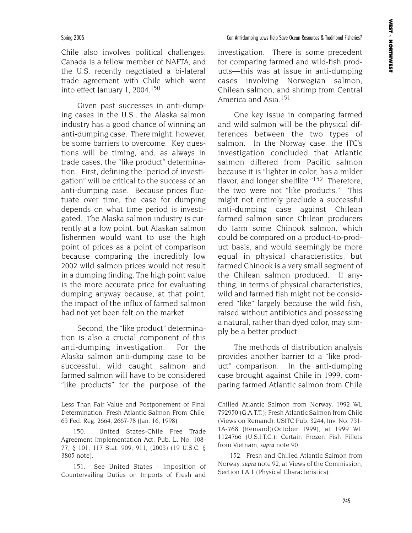Chile also involves political challenges: Canada is a fellow member of NAFTA, and the U.S. recently negotiated a bi-lateral trade agreement with Chile which went into effect January 1, 2004.150

Given past successes in anti-dumping cases in the U.S., the Alaska salmon industry has a good chance of winning an anti-dumping case. There might, however, be some barriers to overcome. Key questions will be timing, and, as always in trade cases, the "like product" determination. First, defining the "period of investigation" will be critical to the success of an anti-dumping case. Because prices fluctuate over time, the case for dumping depends on what time period is investigated. The Alaska salmon industry is currently at a low point, but Alaskan salmon fishermen would want to use the high point of prices as a point of comparison because comparing the incredibly low 2002 wild salmon prices would not result in a dumping finding. The high point value is the more accurate price for evaluating dumping anyway because, at that point, the impact of the influx of farmed salmon had not yet been felt on the market.

Second, the "like product" determination is also a crucial component of this anti-dumping investigation. For the Alaska salmon anti-dumping case to be successful, wild caught salmon and farmed salmon will have to be considered "like products" for the purpose of the

151. See United States - Imposition of Countervailing Duties on Imports of Fresh and investigation. There is some precedent for comparing farmed and wild-fish products—this was at issue in anti-dumping cases involving Norwegian salmon, Chilean salmon, and shrimp from Central America and Asia.151

One key issue in comparing farmed and wild salmon will be the physical differences between the two types of salmon. In the Norway case, the ITC's investigation concluded that Atlantic salmon differed from Pacific salmon because it is "lighter in color, has a milder flavor, and longer shelflife."<sup>152</sup> Therefore, the two were not "like products." This might not entirely preclude a successful anti-dumping case against Chilean farmed salmon since Chilean producers do farm some Chinook salmon, which could be compared on a product-to-product basis, and would seemingly be more equal in physical characteristics, but farmed Chinook is a very small segment of the Chilean salmon produced. If anything, in terms of physical characteristics, wild and farmed fish might not be considered "like" largely because the wild fish, raised without antibiotics and possessing a natural, rather than dyed color, may simply be a better product.

The methods of distribution analysis provides another barrier to a "like product" comparison. In the anti-dumping case brought against Chile in 1999, comparing farmed Atlantic salmon from Chile

Chilled Atlantic Salmon from Norway, 1992 WL 792950 (G.A.T.T.); Fresh Atlantic Salmon from Chile (Views on Remand), USITC Pub. 3244, Inv. No. 731- TA-768 (Remand)(October 1999), at 1999 WL 1124766 (U.S.I.T.C.); Certain Frozen Fish Fillets from Vietnam, *supra* note 90.

152. Fresh and Chilled Atlantic Salmon from Norway, *supra* note 92, at Views of the Commission, Section I.A.1 (Physical Characteristics).

Less Than Fair Value and Postponement of Final Determination: Fresh Atlantic Salmon From Chile, 63 Fed. Reg. 2664, 2667-78 (Jan. 16, 1998).

<sup>150.</sup> United States-Chile Free Trade Agreement Implementation Act, Pub. L. No. 108- 77, § 101, 117 Stat. 909, 911, (2003) (19 U.S.C. § 3805 note).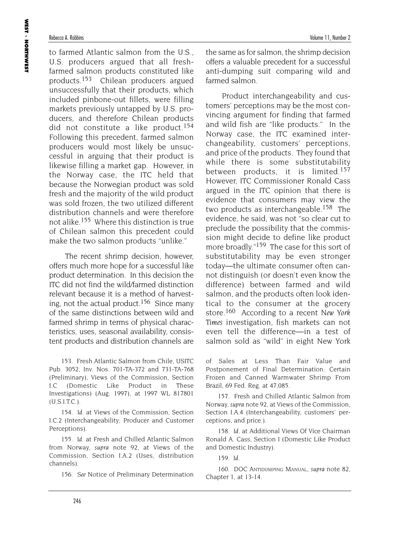to farmed Atlantic salmon from the U.S., U.S. producers argued that all freshfarmed salmon products constituted like products.153 Chilean producers argued unsuccessfully that their products, which included pinbone-out fillets, were filling markets previously untapped by U.S. producers, and therefore Chilean products did not constitute a like product.154 Following this precedent, farmed salmon producers would most likely be unsuccessful in arguing that their product is likewise filling a market gap. However, in the Norway case, the ITC held that because the Norwegian product was sold fresh and the majority of the wild product was sold frozen, the two utilized different distribution channels and were therefore not alike.<sup>155</sup> Where this distinction is true of Chilean salmon this precedent could make the two salmon products "unlike."

The recent shrimp decision, however, offers much more hope for a successful like product determination. In this decision the ITC did not find the wild/farmed distinction relevant because it is a method of harvesting, not the actual product.<sup>156</sup> Since many of the same distinctions between wild and farmed shrimp in terms of physical characteristics, uses, seasonal availability, consistent products and distribution channels are

153. Fresh Atlantic Salmon from Chile, USITC Pub. 3052, Inv. Nos. 701-TA-372 and 731-TA-768 (Preliminary), Views of the Commission, Section I.C (Domestic Like Product in These Investigations) (Aug. 1997), at 1997 WL 817801 (U.S.I.T.C.).

154. *Id*. at Views of the Commission, Section I.C.2 (Interchangeability; Producer and Customer Perceptions).

155. *Id*. at Fresh and Chilled Atlantic Salmon from Norway, *supra* note 92, at Views of the Commission, Section I.A.2 (Uses, distribution channels).

156. *See* Notice of Preliminary Determination

the same as for salmon, the shrimp decision offers a valuable precedent for a successful anti-dumping suit comparing wild and farmed salmon.

Product interchangeability and customers' perceptions may be the most convincing argument for finding that farmed and wild fish are "like products." In the Norway case, the ITC examined interchangeability, customers' perceptions, and price of the products. They found that while there is some substitutability between products, it is limited.<sup>157</sup> However, ITC Commissioner Ronald Cass argued in the ITC opinion that there is evidence that consumers may view the two products as interchangeable.<sup>158</sup> The evidence, he said, was not "so clear cut to preclude the possibility that the commission might decide to define like product more broadly."<sup>159</sup> The case for this sort of substitutability may be even stronger today—the ultimate consumer often cannot distinguish (or doesn't even know the difference) between farmed and wild salmon, and the products often look identical to the consumer at the grocery store.160 According to a recent *New York Times* investigation, fish markets can not even tell the difference—in a test of salmon sold as "wild" in eight New York

of Sales at Less Than Fair Value and Postponement of Final Determination: Certain Frozen and Canned Warmwater Shrimp From Brazil, 69 Fed. Reg. at 47,085.

157. Fresh and Chilled Atlantic Salmon from Norway, *supra* note 92, at Views of the Commission, Section I.A.4 (Interchangeability, customers' perceptions, and price.).

158. *Id*. at Additional Views Of Vice Chairman Ronald A. Cass, Section I (Domestic Like Product and Domestic Industry).

159. *Id*.

160. DOC ANTIDUMPING MANUAL, *supra* note 82, Chapter 1, at 13-14.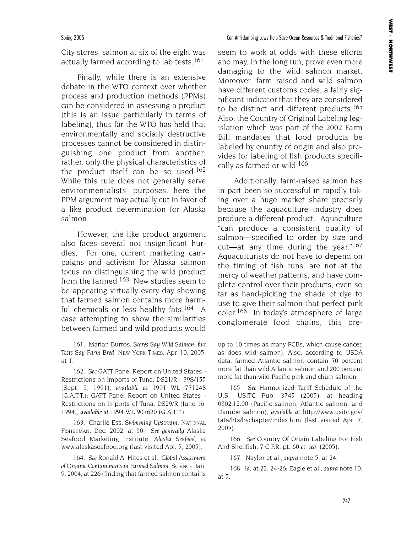City stores, salmon at six of the eight was actually farmed according to lab tests.<sup>161</sup>

Finally, while there is an extensive debate in the WTO context over whether process and production methods (PPMs) can be considered in assessing a product (this is an issue particularly in terms of labeling), thus far the WTO has held that environmentally and socially destructive processes cannot be considered in distinguishing one product from another; rather, only the physical characteristics of the product itself can be so used.<sup>162</sup> While this rule does not generally serve environmentalists' purposes, here the PPM argument may actually cut in favor of a like product determination for Alaska salmon.

However, the like product argument also faces several not insignificant hurdles. For one, current marketing campaigns and activism for Alaska salmon focus on distinguishing the wild product from the farmed.<sup>163</sup> New studies seem to be appearing virtually every day showing that farmed salmon contains more harmful chemicals or less healthy fats.<sup>164</sup> A case attempting to show the similarities between farmed and wild products would

161. Marian Burros, *Stores Say Wild Salmon, but Tests Say Farm Bred*, NEW YORK TIMES, Apr. 10, 2005, at 1.

162. *See* GATT Panel Report on United States - Restrictions on Imports of Tuna, DS21/R - 39S/155 (Sept. 3, 1991), *available at* 1991 WL 771248 (G.A.T.T.); GATT Panel Report on United States - Restrictions on Imports of Tuna, DS29/R (June 16, 1994), *available at* 1994 WL 907620 (G.A.T.T.).

163. Charlie Ess, *Swimming Upstream*, NATIONAL FISHERMAN, Dec. 2002, at 30. *See generally* Alaska Seafood Marketing Institute, *Alaska Seafood*, *at* www.alaskaseafood.org (last visited Apr. 5, 2005).

164. *See* Ronald A. Hites et al., *Global Assessment of Organic Contaminants in Farmed Salmon*. SCIENCE, Jan. 9, 2004, at 226 (finding that farmed salmon contains seem to work at odds with these efforts and may, in the long run, prove even more damaging to the wild salmon market. Moreover, farm raised and wild salmon have different customs codes, a fairly significant indicator that they are considered to be distinct and different products.<sup>165</sup> Also, the Country of Original Labeling legislation which was part of the 2002 Farm Bill mandates that food products be labeled by country of origin and also provides for labeling of fish products specifically as farmed or wild.<sup>166</sup>

Additionally, farm-raised salmon has in part been so successful in rapidly taking over a huge market share precisely because the aquaculture industry does produce a different product. Aquaculture "can produce a consistent quality of salmon—specified to order by size and cut—at any time during the year." $167$ Aquaculturists do not have to depend on the timing of fish runs, are not at the mercy of weather patterns, and have complete control over their products, even so far as hand-picking the shade of dye to use to give their salmon that perfect pink color.168 In today's atmosphere of large conglomerate food chains, this pre-

up to 10 times as many PCBs, which cause cancer, as does wild salmon). Also, according to USDA data, farmed Atlantic salmon contain 70 percent more fat than wild Atlantic salmon and 200 percent more fat than wild Pacific pink and chum salmon.

165. *See* Harmonized Tariff Schedule of the U.S., USITC Pub. 3745 (2005), at heading 0302.12.00 (Pacific salmon, Atlantic salmon, and Danube salmon), *available at* http://www.usitc.gov/ tata/hts/bychapter/index.htm (last visited Apr. 7, 2005).

166. *See* Country Of Origin Labeling For Fish And Shellfish, 7 C.F.R. pt. 60 *et. seq.* (2005).

167. Naylor et al., *supra* note 5, at 24.

168. *Id*. at 22, 24-26; Eagle et al., *supra* note 10, at 5.

### Spring 2005 Can Anti-dumping Laws Help Save Ocean Resources & Traditional Fisheries?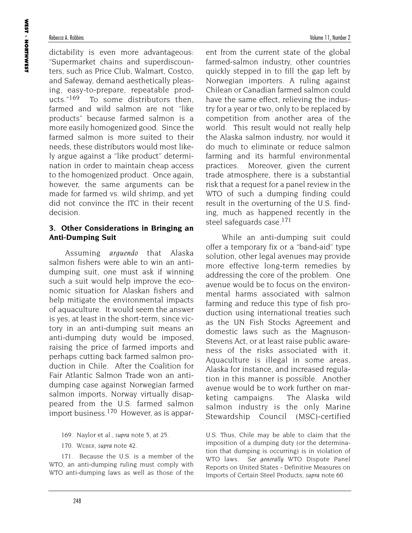dictability is even more advantageous: "Supermarket chains and superdiscounters, such as Price Club, Walmart, Costco, and Safeway, demand aesthetically pleasing, easy-to-prepare, repeatable products."<sup>169</sup> To some distributors then, farmed and wild salmon are not "like products" because farmed salmon is a more easily homogenized good. Since the farmed salmon is more suited to their needs, these distributors would most likely argue against a "like product" determination in order to maintain cheap access to the homogenized product. Once again, however, the same arguments can be made for farmed vs. wild shrimp, and yet did not convince the ITC in their recent decision.

## **3. Other Considerations in Bringing an Anti-Dumping Suit**

Assuming *arguendo* that Alaska salmon fishers were able to win an antidumping suit, one must ask if winning such a suit would help improve the economic situation for Alaskan fishers and help mitigate the environmental impacts of aquaculture. It would seem the answer is yes, at least in the short-term, since victory in an anti-dumping suit means an anti-dumping duty would be imposed, raising the price of farmed imports and perhaps cutting back farmed salmon production in Chile. After the Coalition for Fair Atlantic Salmon Trade won an antidumping case against Norwegian farmed salmon imports, Norway virtually disappeared from the U.S. farmed salmon import business.170 However, as is appar-

- 169. Naylor et al., *supra* note 5, at 25.
- 170. WEBER, *supra* note 42.

171. Because the U.S. is a member of the WTO, an anti-dumping ruling must comply with WTO anti-dumping laws as well as those of the

ent from the current state of the global farmed-salmon industry, other countries quickly stepped in to fill the gap left by Norwegian importers. A ruling against Chilean or Canadian farmed salmon could have the same effect, relieving the industry for a year or two, only to be replaced by competition from another area of the world. This result would not really help the Alaska salmon industry, nor would it do much to eliminate or reduce salmon farming and its harmful environmental practices. Moreover, given the current trade atmosphere, there is a substantial risk that a request for a panel review in the WTO of such a dumping finding could result in the overturning of the U.S. finding, much as happened recently in the steel safeguards case.<sup>171</sup>

While an anti-dumping suit could offer a temporary fix or a "band-aid" type solution, other legal avenues may provide more effective long-term remedies by addressing the core of the problem. One avenue would be to focus on the environmental harms associated with salmon farming and reduce this type of fish production using international treaties such as the UN Fish Stocks Agreement and domestic laws such as the Magnuson-Stevens Act, or at least raise public awareness of the risks associated with it. Aquaculture is illegal in some areas, Alaska for instance, and increased regulation in this manner is possible. Another avenue would be to work further on marketing campaigns. The Alaska wild salmon industry is the only Marine Stewardship Council (MSC)-certified

U.S. Thus, Chile may be able to claim that the imposition of a dumping duty (or the determination that dumping is occurring) is in violation of WTO laws. *See generally* WTO Dispute Panel Reports on United States - Definitive Measures on Imports of Certain Steel Products, *supra* note 60.